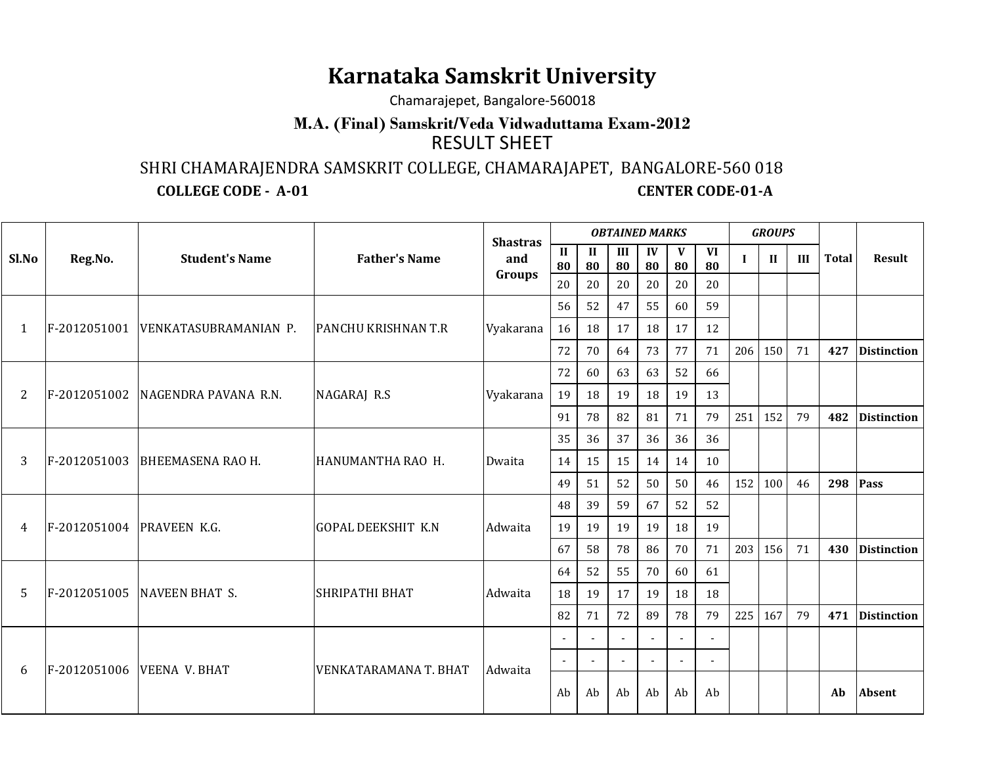## **Karnataka Samskrit University**

Chamarajepet, Bangalore-560018

## **M.A. (Final) Samskrit/Veda Vidwaduttama Exam-2012**RESULT SHEET

SHRI CHAMARAJENDRA SAMSKRIT COLLEGE, CHAMARAJAPET, BANGALORE-560 018

**COLLEGE CODE - A-01** 

**CENTER CODE-01-A** 

|       |                                                                 | <b>Shastras</b>                     |                              | <b>OBTAINED MARKS</b> |                          |         |                          |                          |              |     | <b>GROUPS</b> |               |    |     |                    |  |
|-------|-----------------------------------------------------------------|-------------------------------------|------------------------------|-----------------------|--------------------------|---------|--------------------------|--------------------------|--------------|-----|---------------|---------------|----|-----|--------------------|--|
| Sl.No | <b>Father's Name</b><br>Reg.No.<br><b>Student's Name</b><br>and | $\mathbf{I}$<br>80                  | $\mathbf{I}$<br>80           | III<br>80             | IV<br>80                 | V<br>80 | <b>VI</b><br>80          | $\mathbf I$              | $\mathbf{I}$ | III | <b>Total</b>  | <b>Result</b> |    |     |                    |  |
|       |                                                                 |                                     |                              | Groups                | 20                       | 20      | 20                       | 20                       | 20           | 20  |               |               |    |     |                    |  |
|       |                                                                 |                                     |                              | Vyakarana             |                          | 56      | 52                       | 47                       | 55           | 60  | 59            |               |    |     |                    |  |
| 1     |                                                                 | F-2012051001  VENKATASUBRAMANIAN P. | <b>PANCHU KRISHNAN T.R</b>   |                       | 16                       | 18      | 17                       | 18                       | 17           | 12  |               |               |    |     |                    |  |
|       |                                                                 |                                     |                              |                       | 72                       | 70      | 64                       | 73                       | 77           | 71  | 206           | 150           | 71 | 427 | <b>Distinction</b> |  |
|       |                                                                 |                                     |                              |                       | 72                       | 60      | 63                       | 63                       | 52           | 66  |               |               |    |     |                    |  |
| 2     | F-2012051002                                                    | NAGENDRA PAVANA R.N.                | NAGARAJ R.S                  | Vyakarana             | 19                       | 18      | 19                       | 18                       | 19           | 13  |               |               |    |     |                    |  |
|       |                                                                 |                                     |                              |                       | 91                       | 78      | 82                       | 81                       | 71           | 79  | 251           | 152           | 79 | 482 | <b>Distinction</b> |  |
|       |                                                                 |                                     |                              |                       | 35                       | 36      | 37                       | 36                       | 36           | 36  |               |               |    |     |                    |  |
| 3     | F-2012051003                                                    | <b>BHEEMASENA RAO H.</b>            | HANUMANTHA RAO H.            | Dwaita                | 14                       | 15      | 15                       | 14                       | 14           | 10  |               |               |    |     |                    |  |
|       |                                                                 |                                     |                              |                       | 49                       | 51      | 52                       | 50                       | 50           | 46  | 152           | 100           | 46 | 298 | Pass               |  |
|       |                                                                 |                                     |                              |                       | 48                       | 39      | 59                       | 67                       | 52           | 52  |               |               |    |     |                    |  |
| 4     | F-2012051004 PRAVEEN K.G.                                       |                                     | <b>GOPAL DEEKSHIT K.N</b>    | Adwaita               | 19                       | 19      | 19                       | 19                       | 18           | 19  |               |               |    |     |                    |  |
|       |                                                                 |                                     |                              |                       | 67                       | 58      | 78                       | 86                       | 70           | 71  | 203           | 156           | 71 | 430 | <b>Distinction</b> |  |
|       |                                                                 |                                     |                              |                       | 64                       | 52      | 55                       | 70                       | 60           | 61  |               |               |    |     |                    |  |
| 5     | F-2012051005                                                    | NAVEEN BHAT S.                      | <b>SHRIPATHI BHAT</b>        | Adwaita               | 18                       | 19      | 17                       | 19                       | 18           | 18  |               |               |    |     |                    |  |
|       |                                                                 |                                     |                              |                       | 82                       | 71      | 72                       | 89                       | 78           | 79  | 225           | 167           | 79 | 471 | <b>Distinction</b> |  |
|       |                                                                 |                                     |                              |                       |                          |         |                          |                          |              |     |               |               |    |     |                    |  |
| 6     | F-2012051006 VEENA V. BHAT                                      |                                     | <b>VENKATARAMANA T. BHAT</b> | Adwaita               | $\overline{\phantom{a}}$ |         | $\overline{\phantom{a}}$ | $\overline{\phantom{a}}$ |              |     |               |               |    |     |                    |  |
|       |                                                                 |                                     |                              |                       | Ab                       | Ab      | Ab                       | Ab                       | Ab           | Ab  |               |               |    | Ab  | <b>Absent</b>      |  |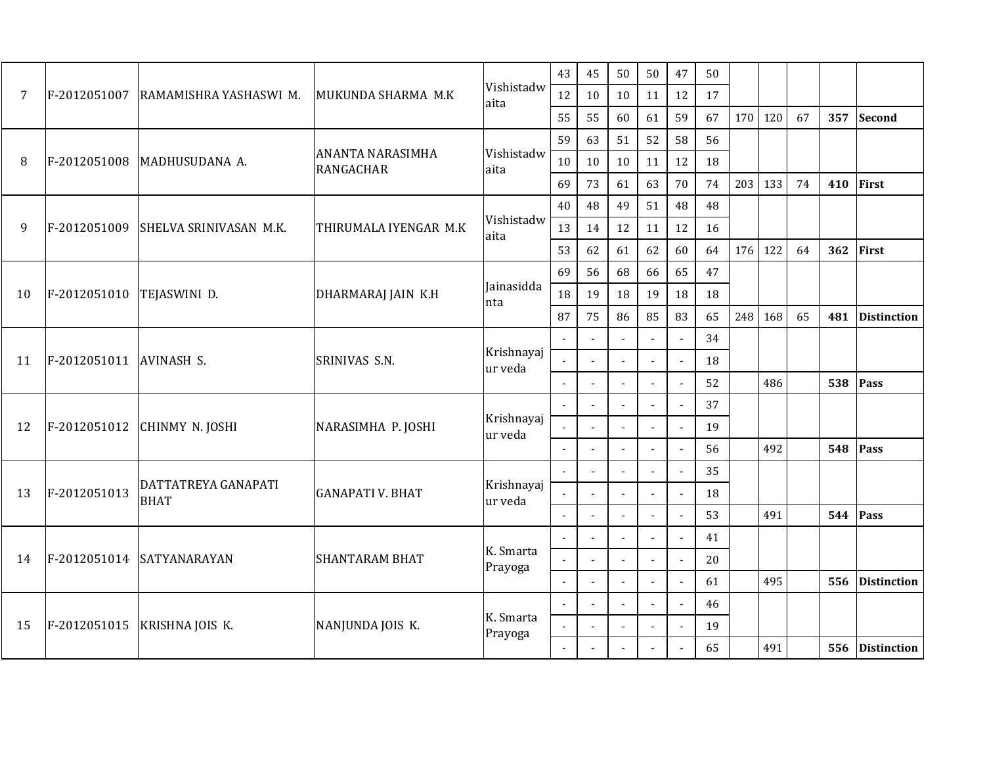|                |              |                                    |                         | Vishistadw<br>aita                   |                          |                          |                |                | 43  | 45 | 50  | 50    | 47 | 50       |                    |  |  |  |  |
|----------------|--------------|------------------------------------|-------------------------|--------------------------------------|--------------------------|--------------------------|----------------|----------------|-----|----|-----|-------|----|----------|--------------------|--|--|--|--|
| $\overline{7}$ | F-2012051007 | RAMAMISHRA YASHASWI M.             | MUKUNDA SHARMA M.K      |                                      |                          |                          |                |                |     | 12 | 10  | 10    | 11 | 12       | 17                 |  |  |  |  |
|                |              |                                    |                         |                                      | 55                       | 55                       | 60             | 61             | 59  | 67 | 170 | 120   | 67 | 357      | <b>Second</b>      |  |  |  |  |
|                |              |                                    | <b>ANANTA NARASIMHA</b> | 59<br>Vishistadw<br>10<br>aita       | 63                       | 51                       | 52             | 58             | 56  |    |     |       |    |          |                    |  |  |  |  |
| 8              | F-2012051008 | MADHUSUDANA A.                     | <b>RANGACHAR</b>        |                                      |                          | 10                       | 10             | 11             | 12  | 18 |     |       |    |          |                    |  |  |  |  |
|                |              | 69                                 | 73                      | 61                                   | 63                       | 70                       | 74             | 203            | 133 | 74 | 410 | First |    |          |                    |  |  |  |  |
|                |              |                                    |                         | 40<br>Vishistadw<br>13<br>aita<br>53 |                          | 48                       | 49             | 51             | 48  | 48 |     |       |    |          |                    |  |  |  |  |
| 9              | F-2012051009 | SHELVA SRINIVASAN M.K.             | THIRUMALA IYENGAR M.K   |                                      | 14                       | 12                       | 11             | 12             | 16  |    |     |       |    |          |                    |  |  |  |  |
|                |              |                                    |                         |                                      |                          | 62                       | 61             | 62             | 60  | 64 | 176 | 122   | 64 | 362      | First              |  |  |  |  |
| 10             |              | TEJASWINI D.                       |                         |                                      | 69                       | 56                       | 68             | 66             | 65  | 47 |     |       |    |          |                    |  |  |  |  |
|                | F-2012051010 |                                    | DHARMARAJ JAIN K.H      | Jainasidda<br>nta                    | 18<br>19<br>18           | 19                       | 18             | 18             |     |    |     |       |    |          |                    |  |  |  |  |
|                |              |                                    |                         |                                      | 87                       | 75                       | 86             | 85             | 83  | 65 | 248 | 168   | 65 | 481      | <b>Distinction</b> |  |  |  |  |
|                | F-2012051011 | <b>AVINASH S.</b>                  |                         | L.                                   | $\mathbf{r}$             | $\overline{a}$           |                | 34             |     |    |     |       |    |          |                    |  |  |  |  |
| 11             |              |                                    | SRINIVAS S.N.           | Krishnayaj<br>ur veda                | $\overline{a}$           |                          | $\overline{a}$ |                | 18  |    |     |       |    |          |                    |  |  |  |  |
|                |              |                                    |                         |                                      | $\overline{\phantom{a}}$ |                          |                | $\overline{a}$ |     | 52 |     | 486   |    | 538      | Pass               |  |  |  |  |
|                | F-2012051012 | CHINMY N. JOSHI                    | NARASIMHA P. JOSHI      | Krishnayaj<br>ur veda                | $\mathbb{Z}^2$           |                          |                |                |     | 37 |     |       |    |          |                    |  |  |  |  |
| 12             |              |                                    |                         |                                      | $\overline{\phantom{a}}$ |                          |                | $\overline{a}$ |     | 19 |     |       |    |          |                    |  |  |  |  |
|                |              |                                    |                         |                                      | $\blacksquare$           |                          | $\overline{a}$ | $\overline{a}$ |     | 56 |     | 492   |    | 548      | Pass               |  |  |  |  |
|                |              |                                    |                         |                                      | ă.                       | $\overline{a}$           | $\mathbb{Z}^2$ | $\overline{a}$ |     | 35 |     |       |    |          |                    |  |  |  |  |
| 13             | F-2012051013 | DATTATREYA GANAPATI<br><b>BHAT</b> | <b>GANAPATI V. BHAT</b> | Krishnayaj<br>ur veda                | $\overline{a}$           | $\blacksquare$           | $\overline{a}$ |                |     | 18 |     |       |    |          |                    |  |  |  |  |
|                |              |                                    |                         |                                      | $\overline{\phantom{a}}$ |                          |                |                |     | 53 |     | 491   |    | 544 Pass |                    |  |  |  |  |
| 14             |              |                                    |                         |                                      | $\mathbb{Z}^2$           |                          | $\mathbf{r}$   | $\overline{a}$ |     | 41 |     |       |    |          |                    |  |  |  |  |
|                | F-2012051014 | SATYANARAYAN                       | <b>SHANTARAM BHAT</b>   | K. Smarta<br>Prayoga                 | $\overline{a}$           | $\overline{\phantom{a}}$ | $\mathbf{L}$   | $\sim$         |     | 20 |     |       |    |          |                    |  |  |  |  |
|                |              |                                    |                         |                                      | $\mathbf{r}$             |                          | $\mathbf{r}$   | $\overline{a}$ |     | 61 |     | 495   |    | 556      | <b>Distinction</b> |  |  |  |  |
|                |              | KRISHNA JOIS K.                    | NANJUNDA JOIS K.        | K. Smarta<br>Prayoga                 |                          |                          |                |                |     | 46 |     |       |    |          |                    |  |  |  |  |
| 15             | F-2012051015 |                                    |                         |                                      | L,                       | $\sim$                   | $\mathbb{Z}^2$ | $\mathbf{r}$   |     | 19 |     |       |    |          |                    |  |  |  |  |
|                |              |                                    |                         |                                      | $\overline{a}$           |                          |                | $\overline{a}$ |     | 65 |     | 491   |    | 556      | <b>Distinction</b> |  |  |  |  |